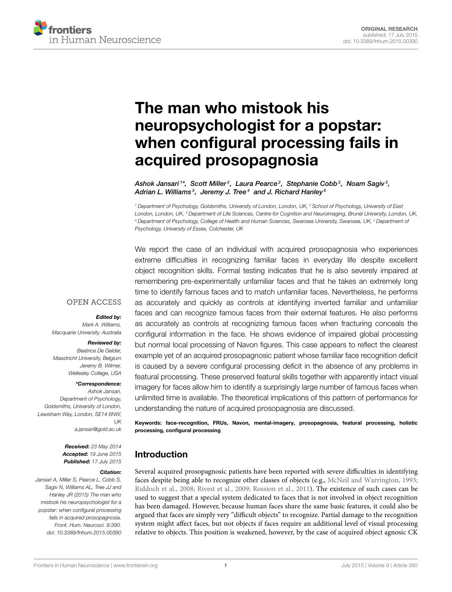

# The man who mistook his neuropsychologist for a popstar: [when configural processing fails in](http://journal.frontiersin.org/article/10.3389/fnhum.2015.00390/abstract) acquired prosopagnosia

[Ashok Jansari](http://loop.frontiersin.org/people/123837/overview) $^{\text{1*}}, \,$  [Scott Miller](http://loop.frontiersin.org/people/225506/overview) $^{\text{2}}$ , Laura Pearce $^{\text{2}}$ , Stephanie Cobb $^{\text{2}}$ , [Noam Sagiv](http://loop.frontiersin.org/people/8450/overview) $^{\text{3}},$ [Adrian L. Williams](http://loop.frontiersin.org/people/197326/overview)<sup>3</sup>, Jeremy J. Tree<sup>4</sup> and [J. Richard Hanley](http://loop.frontiersin.org/people/148188/overview)<sup>5</sup>

<sup>1</sup> Department of Psychology, Goldsmiths, University of London, London, UK, <sup>2</sup> School of Psychology, University of East London, London, UK, <sup>3</sup> Department of Life Sciences, Centre for Cognition and Neuroimaging, Brunel University, London, UK, <sup>4</sup> Department of Psychology, College of Health and Human Sciences, Swansea University, Swansea, UK, <sup>5</sup> Department of Psychology, University of Essex, Colchester, UK

We report the case of an individual with acquired prosopagnosia who experiences extreme difficulties in recognizing familiar faces in everyday life despite excellent object recognition skills. Formal testing indicates that he is also severely impaired at remembering pre-experimentally unfamiliar faces and that he takes an extremely long time to identify famous faces and to match unfamiliar faces. Nevertheless, he performs as accurately and quickly as controls at identifying inverted familiar and unfamiliar faces and can recognize famous faces from their external features. He also performs as accurately as controls at recognizing famous faces when fracturing conceals the configural information in the face. He shows evidence of impaired global processing but normal local processing of Navon figures. This case appears to reflect the clearest example yet of an acquired prosopagnosic patient whose familiar face recognition deficit is caused by a severe configural processing deficit in the absence of any problems in featural processing. These preserved featural skills together with apparently intact visual imagery for faces allow him to identify a surprisingly large number of famous faces when unlimited time is available. The theoretical implications of this pattern of performance for understanding the nature of acquired prosopagnosia are discussed.

Keywords: face-recognition, FRUs, Navon, mental-imagery, prosopagnosia, featural processing, holistic processing, configural processing

# Introduction

Several acquired prosopagnosic patients have been reported with severe difficulties in identifying faces despite being able to recognize other classes of objects (e.g., [McNeil and Warrington, 1993;](#page-14-0) [Riddoch et al., 2008;](#page-14-1) [Rivest et al., 2009;](#page-14-2) [Rossion et al., 2011\)](#page-14-3). The existence of such cases can be used to suggest that a special system dedicated to faces that is not involved in object recognition has been damaged. However, because human faces share the same basic features, it could also be argued that faces are simply very "difficult objects" to recognize. Partial damage to the recognition system might affect faces, but not objects if faces require an additional level of visual processing relative to objects. This position is weakened, however, by the case of acquired object agnosic CK

#### **OPEN ACCESS**

#### Edited by:

Mark A. Williams, Macquarie University, Australia

#### Reviewed by:

Beatrice De Gelder, Maastricht University, Belgium Jeremy B. Wilmer, Wellesley College, USA

#### \*Correspondence:

Ashok Jansari, Department of Psychology, Goldsmiths, University of London, Lewisham Way, London, SE14 6NW,  $UK$ [a.jansari@gold.ac.uk](mailto:a.jansari@gold.ac.uk)

> Received: 23 May 2014 Accepted: 19 June 2015 Published: 17 July 2015

#### Citation:

Jansari A, Miller S, Pearce L, Cobb S, Sagiv N, Williams AL, Tree JJ and Hanley JR (2015) The man who mistook his neuropsychologist for a popstar: when configural processing fails in acquired prosopagnosia. Front. Hum. Neurosci. 9:390. doi: [10.3389/fnhum.2015.00390](http://dx.doi.org/10.3389/fnhum.2015.00390)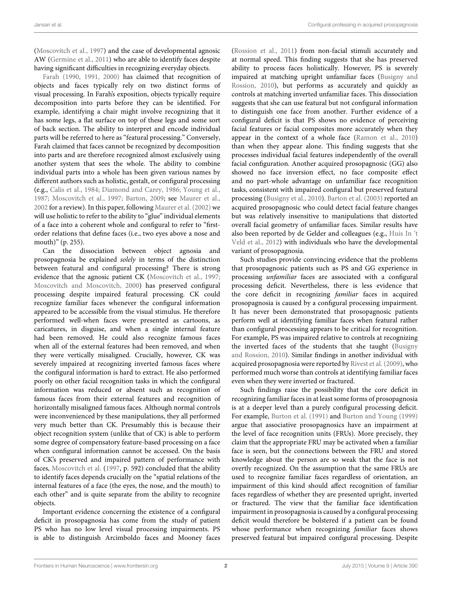[\(Moscovitch et al., 1997\)](#page-14-4) and the case of developmental agnosic AW [\(Germine et al., 2011\)](#page-14-5) who are able to identify faces despite having significant difficulties in recognizing everyday objects.

[Farah](#page-14-6) [\(1990,](#page-14-6) [1991,](#page-14-7) [2000\)](#page-14-8) has claimed that recognition of objects and faces typically rely on two distinct forms of visual processing. In Farah's exposition, objects typically require decomposition into parts before they can be identified. For example, identifying a chair might involve recognizing that it has some legs, a flat surface on top of these legs and some sort of back section. The ability to interpret and encode individual parts will be referred to here as "featural processing." Conversely, Farah claimed that faces cannot be recognized by decomposition into parts and are therefore recognized almost exclusively using another system that sees the whole. The ability to combine individual parts into a whole has been given various names by different authors such as holistic, gestalt, or configural processing (e.g., [Calis et al., 1984;](#page-14-9) [Diamond and Carey, 1986;](#page-14-10) [Young et al.,](#page-14-11) [1987;](#page-14-11) [Moscovitch et al., 1997;](#page-14-4) [Barton, 2009;](#page-13-0) see [Maurer et al.,](#page-14-12) [2002](#page-14-12) for a review). In this paper, following [Maurer et al.](#page-14-12) [\(2002\)](#page-14-12) we will use holistic to refer to the ability to "glue" individual elements of a face into a coherent whole and configural to refer to "firstorder relations that define faces (i.e., two eyes above a nose and mouth)" (p. 255).

Can the dissociation between object agnosia and prosopagnosia be explained solely in terms of the distinction between featural and configural processing? There is strong evidence that the agnosic patient CK [\(Moscovitch et al., 1997;](#page-14-4) [Moscovitch and Moscovitch, 2000\)](#page-14-13) has preserved configural processing despite impaired featural processing. CK could recognize familiar faces whenever the configural information appeared to be accessible from the visual stimulus. He therefore performed well-when faces were presented as cartoons, as caricatures, in disguise, and when a single internal feature had been removed. He could also recognize famous faces when all of the external features had been removed, and when they were vertically misaligned. Crucially, however, CK was severely impaired at recognizing inverted famous faces where the configural information is hard to extract. He also performed poorly on other facial recognition tasks in which the configural information was reduced or absent such as recognition of famous faces from their external features and recognition of horizontally misaligned famous faces. Although normal controls were inconvenienced by these manipulations, they all performed very much better than CK. Presumably this is because their object recognition system (unlike that of CK) is able to perform some degree of compensatory feature-based processing on a face when configural information cannot be accessed. On the basis of CK's preserved and impaired pattern of performance with faces, [Moscovitch et al.](#page-14-4) [\(1997,](#page-14-4) p. 592) concluded that the ability to identify faces depends crucially on the "spatial relations of the internal features of a face (the eyes, the nose, and the mouth) to each other" and is quite separate from the ability to recognize objects.

Important evidence concerning the existence of a configural deficit in prosopagnosia has come from the study of patient PS who has no low level visual processing impairments. PS is able to distinguish Arcimboldo faces and Mooney faces [\(Rossion et al., 2011\)](#page-14-3) from non-facial stimuli accurately and at normal speed. This finding suggests that she has preserved ability to process faces holistically. However, PS is severely impaired at matching upright unfamiliar faces (Busigny and Rossion, [2010\)](#page-14-14), but performs as accurately and quickly as controls at matching inverted unfamiliar faces. This dissociation suggests that she can use featural but not configural information to distinguish one face from another. Further evidence of a configural deficit is that PS shows no evidence of perceiving facial features or facial composites more accurately when they appear in the context of a whole face [\(Ramon et al., 2010\)](#page-14-15) than when they appear alone. This finding suggests that she processes individual facial features independently of the overall facial configuration. Another acquired prosopagnosic (GG) also showed no face inversion effect, no face composite effect and no part-whole advantage on unfamiliar face recognition tasks, consistent with impaired configural but preserved featural processing [\(Busigny et al., 2010\)](#page-14-16). [Barton et al.](#page-13-1) [\(2003\)](#page-13-1) reported an acquired prosopagnosic who could detect facial feature changes but was relatively insensitive to manipulations that distorted overall facial geometry of unfamiliar faces. Similar results have also been reported by de Gelder and colleagues (e.g., Huis In 't Veld et al., [2012\)](#page-14-17) with individuals who have the developmental variant of prosopagnosia.

Such studies provide convincing evidence that the problems that prosopagnosic patients such as PS and GG experience in processing unfamiliar faces are associated with a configural processing deficit. Nevertheless, there is less evidence that the core deficit in recognizing familiar faces in acquired prosopagnosia is caused by a configural processing impairment. It has never been demonstrated that prosopagnosic patients perform well at identifying familiar faces when featural rather than configural processing appears to be critical for recognition. For example, PS was impaired relative to controls at recognizing the inverted faces of the students that she taught (Busigny and Rossion, [2010\)](#page-14-14). Similar findings in another individual with acquired prosopagnosia were reported by [Rivest et al.](#page-14-2) [\(2009\)](#page-14-2), who performed much worse than controls at identifying familiar faces even when they were inverted or fractured.

Such findings raise the possibility that the core deficit in recognizing familiar faces in at least some forms of prosopagnosia is at a deeper level than a purely configural processing deficit. For example, [Burton et al.](#page-14-18) [\(1991\)](#page-14-18) and [Burton and Young](#page-13-2) [\(1999\)](#page-13-2) argue that associative prosopagnosics have an impairment at the level of face recognition units (FRUs). More precisely, they claim that the appropriate FRU may be activated when a familiar face is seen, but the connections between the FRU and stored knowledge about the person are so weak that the face is not overtly recognized. On the assumption that the same FRUs are used to recognize familiar faces regardless of orientation, an impairment of this kind should affect recognition of familiar faces regardless of whether they are presented upright, inverted or fractured. The view that the familiar face identification impairment in prosopagnosia is caused by a configural processing deficit would therefore be bolstered if a patient can be found whose performance when recognizing familiar faces shows preserved featural but impaired configural processing. Despite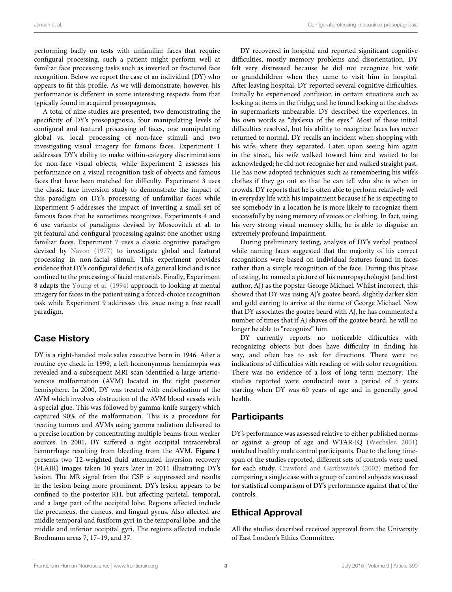performing badly on tests with unfamiliar faces that require configural processing, such a patient might perform well at familiar face processing tasks such as inverted or fractured face recognition. Below we report the case of an individual (DY) who appears to fit this profile. As we will demonstrate, however, his performance is different in some interesting respects from that typically found in acquired prosopagnosia.

A total of nine studies are presented, two demonstrating the specificity of DY's prosopagnosia, four manipulating levels of configural and featural processing of faces, one manipulating global vs. local processing of non-face stimuli and two investigating visual imagery for famous faces. Experiment 1 addresses DY's ability to make within-category discriminations for non-face visual objects, while Experiment 2 assesses his performance on a visual recognition task of objects and famous faces that have been matched for difficulty. Experiment 3 uses the classic face inversion study to demonstrate the impact of this paradigm on DY's processing of unfamiliar faces while Experiment 5 addresses the impact of inverting a small set of famous faces that he sometimes recognizes. Experiments 4 and 6 use variants of paradigms devised by Moscovitch et al. to pit featural and configural processing against one another using familiar faces. Experiment 7 uses a classic cognitive paradigm devised by [Navon](#page-14-19) [\(1977\)](#page-14-19) to investigate global and featural processing in non-facial stimuli. This experiment provides evidence that DY's configural deficit is of a general kind and is not confined to the processing of facial materials. Finally, Experiment 8 adapts the [Young et al.](#page-15-0) [\(1994\)](#page-15-0) approach to looking at mental imagery for faces in the patient using a forced-choice recognition task while Experiment 9 addresses this issue using a free recall paradigm.

# Case History

DY is a right-handed male sales executive born in 1946. After a routine eye check in 1999, a left homonymous hemianopia was revealed and a subsequent MRI scan identified a large arteriovenous malformation (AVM) located in the right posterior hemisphere. In 2000, DY was treated with embolization of the AVM which involves obstruction of the AVM blood vessels with a special glue. This was followed by gamma-knife surgery which captured 90% of the malformation. This is a procedure for treating tumors and AVMs using gamma radiation delivered to a precise location by concentrating multiple beams from weaker sources. In 2001, DY suffered a right occipital intracerebral hemorrhage resulting from bleeding from the AVM. **[Figure 1](#page-3-0)** presents two T2-weighted fluid attenuated inversion recovery (FLAIR) images taken 10 years later in 2011 illustrating DY's lesion. The MR signal from the CSF is suppressed and results in the lesion being more prominent. DY's lesion appears to be confined to the posterior RH, but affecting parietal, temporal, and a large part of the occipital lobe. Regions affected include the precuneus, the cuneus, and lingual gyrus. Also affected are middle temporal and fusiform gyri in the temporal lobe, and the middle and inferior occipital gyri. The regions affected include Brodmann areas 7, 17–19, and 37.

DY recovered in hospital and reported significant cognitive difficulties, mostly memory problems and disorientation. DY felt very distressed because he did not recognize his wife or grandchildren when they came to visit him in hospital. After leaving hospital, DY reported several cognitive difficulties. Initially he experienced confusion in certain situations such as looking at items in the fridge, and he found looking at the shelves in supermarkets unbearable. DY described the experiences, in his own words as "dyslexia of the eyes." Most of these initial difficulties resolved, but his ability to recognize faces has never returned to normal. DY recalls an incident when shopping with his wife, where they separated. Later, upon seeing him again in the street, his wife walked toward him and waited to be acknowledged; he did not recognize her and walked straight past. He has now adopted techniques such as remembering his wife's clothes if they go out so that he can tell who she is when in crowds. DY reports that he is often able to perform relatively well in everyday life with his impairment because if he is expecting to see somebody in a location he is more likely to recognize them successfully by using memory of voices or clothing. In fact, using his very strong visual memory skills, he is able to disguise an extremely profound impairment.

During preliminary testing, analysis of DY's verbal protocol while naming faces suggested that the majority of his correct recognitions were based on individual features found in faces rather than a simple recognition of the face. During this phase of testing, he named a picture of his neuropsychologist (and first author, AJ) as the popstar George Michael. Whilst incorrect, this showed that DY was using AJ's goatee beard, slightly darker skin and gold earring to arrive at the name of George Michael. Now that DY associates the goatee beard with AJ, he has commented a number of times that if AJ shaves off the goatee beard, he will no longer be able to "recognize" him.

DY currently reports no noticeable difficulties with recognizing objects but does have difficulty in finding his way, and often has to ask for directions. There were no indications of difficulties with reading or with color recognition. There was no evidence of a loss of long term memory. The studies reported were conducted over a period of 5 years starting when DY was 60 years of age and in generally good health.

# **Participants**

DY's performance was assessed relative to either published norms or against a group of age and WTAR-IQ [\(Wechsler, 2001\)](#page-14-20) matched healthy male control participants. Due to the long timespan of the studies reported, different sets of controls were used for each study. [Crawford and Garthwaite's](#page-14-21) [\(2002\)](#page-14-21) method for comparing a single case with a group of control subjects was used for statistical comparison of DY's performance against that of the controls.

# Ethical Approval

All the studies described received approval from the University of East London's Ethics Committee.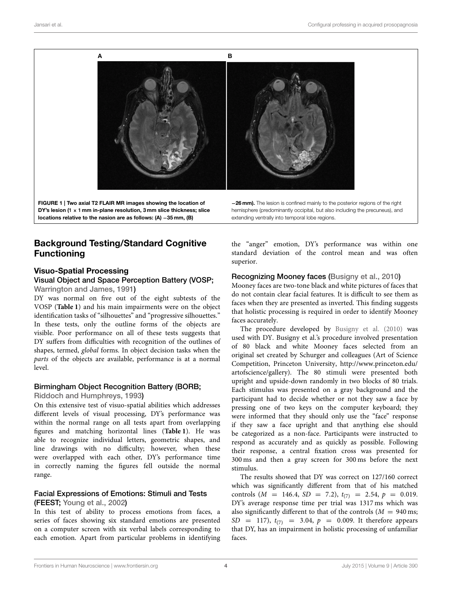

<span id="page-3-0"></span>FIGURE 1 | Two axial T2 FLAIR MR images showing the location of DY's lesion (1  $\times$  1 mm in-plane resolution, 3 mm slice thickness; slice locations relative to the nasion are as follows: (A) −35 mm, (B)

hemisphere (predominantly occipital, but also including the precuneus), and extending ventrally into temporal lobe regions.

# Background Testing/Standard Cognitive Functioning

### Visuo-Spatial Processing

#### Visual Object and Space Perception Battery (VOSP; [Warrington and James, 1991\)](#page-14-22)

DY was normal on five out of the eight subtests of the VOSP (**[Table 1](#page-4-0)**) and his main impairments were on the object identification tasks of "silhouettes" and "progressive silhouettes." In these tests, only the outline forms of the objects are visible. Poor performance on all of these tests suggests that DY suffers from difficulties with recognition of the outlines of shapes, termed, global forms. In object decision tasks when the parts of the objects are available, performance is at a normal level.

# Birmingham Object Recognition Battery (BORB;

[Riddoch and Humphreys, 1993\)](#page-14-23)

On this extensive test of visuo-spatial abilities which addresses different levels of visual processing, DY's performance was within the normal range on all tests apart from overlapping figures and matching horizontal lines (**[Table 1](#page-4-0)**). He was able to recognize individual letters, geometric shapes, and line drawings with no difficulty; however, when these were overlapped with each other, DY's performance time in correctly naming the figures fell outside the normal range.

#### Facial Expressions of Emotions: Stimuli and Tests (FEEST; [Young et al., 2002\)](#page-15-1)

In this test of ability to process emotions from faces, a series of faces showing six standard emotions are presented on a computer screen with six verbal labels corresponding to each emotion. Apart from particular problems in identifying the "anger" emotion, DY's performance was within one standard deviation of the control mean and was often superior.

# Recognizing Mooney faces [\(Busigny et al., 2010\)](#page-14-16)

Mooney faces are two-tone black and white pictures of faces that do not contain clear facial features. It is difficult to see them as faces when they are presented as inverted. This finding suggests that holistic processing is required in order to identify Mooney faces accurately.

The procedure developed by [Busigny et al.](#page-14-16) [\(2010\)](#page-14-16) was used with DY. Busigny et al.'s procedure involved presentation of 80 black and white Mooney faces selected from an original set created by Schurger and colleagues (Art of Science Competition, Princeton University, [http://www.princeton.edu/](http://www.princeton.edu/artofscience/gallery) [artofscience/gallery\)](http://www.princeton.edu/artofscience/gallery). The 80 stimuli were presented both upright and upside-down randomly in two blocks of 80 trials. Each stimulus was presented on a gray background and the participant had to decide whether or not they saw a face by pressing one of two keys on the computer keyboard; they were informed that they should only use the "face" response if they saw a face upright and that anything else should be categorized as a non-face. Participants were instructed to respond as accurately and as quickly as possible. Following their response, a central fixation cross was presented for 300 ms and then a gray screen for 300 ms before the next stimulus.

The results showed that DY was correct on 127/160 correct which was significantly different from that of his matched controls  $(M = 146.4, SD = 7.2), t_{(7)} = 2.54, p = 0.019.$ DY's average response time per trial was 1317 ms which was also significantly different to that of the controls ( $M = 940$  ms;  $SD = 117$ ,  $t_{(7)} = 3.04$ ,  $p = 0.009$ . It therefore appears that DY, has an impairment in holistic processing of unfamiliar faces.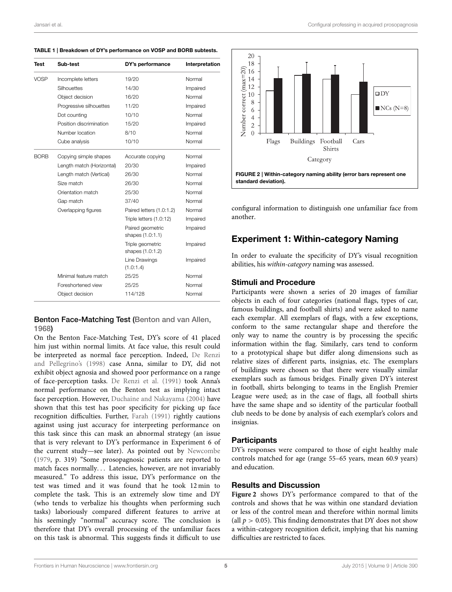<span id="page-4-0"></span>TABLE 1 | Breakdown of DY's performance on VOSP and BORB subtests.

| Test        | Sub-test                  | DY's performance                     | Interpretation |  |  |
|-------------|---------------------------|--------------------------------------|----------------|--|--|
| VOSP        | Incomplete letters        | 19/20                                | Normal         |  |  |
|             | Silhouettes               | 14/30                                | Impaired       |  |  |
|             | Object decision           | 16/20                                | Normal         |  |  |
|             | Progressive silhouettes   | 11/20                                | Impaired       |  |  |
|             | Dot counting              | 10/10                                | Normal         |  |  |
|             | Position discrimination   | 15/20                                | Impaired       |  |  |
|             | Number location           | 8/10                                 | Normal         |  |  |
|             | Cube analysis             | 10/10                                | Normal         |  |  |
| <b>BORB</b> | Copying simple shapes     | Accurate copying                     | Normal         |  |  |
|             | Length match (Horizontal) | 20/30                                | Impaired       |  |  |
|             | Length match (Vertical)   | 26/30                                | Normal         |  |  |
|             | Size match                | 26/30                                | Normal         |  |  |
|             | Orientation match         | 25/30                                | Normal         |  |  |
|             | Gap match                 | 37/40                                | Normal         |  |  |
|             | Overlapping figures       | Paired letters (1.0:1.2)             | Normal         |  |  |
|             |                           | Triple letters (1.0:12)              | Impaired       |  |  |
|             |                           | Paired geometric<br>shapes (1.0:1.1) | Impaired       |  |  |
|             |                           | Triple geometric<br>shapes (1.0:1.2) | Impaired       |  |  |
|             |                           | Line Drawings<br>(1.0:1.4)           | Impaired       |  |  |
|             | Minimal feature match     | 25/25                                | Normal         |  |  |
|             | Foreshortened view        | 25/25                                | Normal         |  |  |
|             | Object decision           | 114/128                              | Normal         |  |  |

### Benton Face-Matching Test [\(Benton and van Allen,](#page-13-3) [1968\)](#page-13-3)

On the Benton Face-Matching Test, DY's score of 41 placed him just within normal limits. At face value, this result could be interpreted as normal face perception. Indeed, De Renzi and Pellegrino's [\(1998\)](#page-14-24) case Anna, similar to DY, did not exhibit object agnosia and showed poor performance on a range of face-perception tasks. [De Renzi et al.](#page-14-25) [\(1991\)](#page-14-25) took Anna's normal performance on the Benton test as implying intact face perception. However, [Duchaine and Nakayama](#page-14-26) [\(2004\)](#page-14-26) have shown that this test has poor specificity for picking up face recognition difficulties. Further, [Farah](#page-14-7) [\(1991\)](#page-14-7) rightly cautions against using just accuracy for interpreting performance on this task since this can mask an abnormal strategy (an issue that is very relevant to DY's performance in Experiment 6 of the current study—see later). As pointed out by [Newcombe](#page-14-27) [\(1979,](#page-14-27) p. 319) "Some prosopagnosic patients are reported to match faces normally... Latencies, however, are not invariably measured." To address this issue, DY's performance on the test was timed and it was found that he took 12 min to complete the task. This is an extremely slow time and DY (who tends to verbalize his thoughts when performing such tasks) laboriously compared different features to arrive at his seemingly "normal" accuracy score. The conclusion is therefore that DY's overall processing of the unfamiliar faces on this task is abnormal. This suggests finds it difficult to use





<span id="page-4-1"></span>configural information to distinguish one unfamiliar face from another.

# Experiment 1: Within-category Naming

In order to evaluate the specificity of DY's visual recognition abilities, his within-category naming was assessed.

### Stimuli and Procedure

Participants were shown a series of 20 images of familiar objects in each of four categories (national flags, types of car, famous buildings, and football shirts) and were asked to name each exemplar. All exemplars of flags, with a few exceptions, conform to the same rectangular shape and therefore the only way to name the country is by processing the specific information within the flag. Similarly, cars tend to conform to a prototypical shape but differ along dimensions such as relative sizes of different parts, insignias, etc. The exemplars of buildings were chosen so that there were visually similar exemplars such as famous bridges. Finally given DY's interest in football, shirts belonging to teams in the English Premier League were used; as in the case of flags, all football shirts have the same shape and so identity of the particular football club needs to be done by analysis of each exemplar's colors and insignias.

### **Participants**

DY's responses were compared to those of eight healthy male controls matched for age (range 55–65 years, mean 60.9 years) and education.

# Results and Discussion

**[Figure 2](#page-4-1)** shows DY's performance compared to that of the controls and shows that he was within one standard deviation or less of the control mean and therefore within normal limits (all  $p > 0.05$ ). This finding demonstrates that DY does not show a within-category recognition deficit, implying that his naming difficulties are restricted to faces.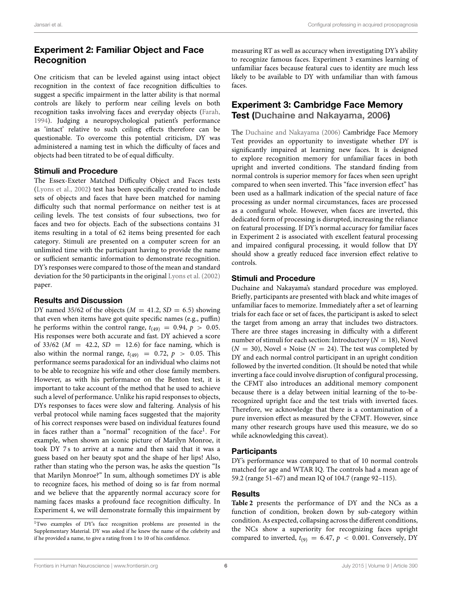# Experiment 2: Familiar Object and Face **Recognition**

One criticism that can be leveled against using intact object recognition in the context of face recognition difficulties to suggest a specific impairment in the latter ability is that normal controls are likely to perform near ceiling levels on both recognition tasks involving faces and everyday objects [\(Farah,](#page-14-28) [1994\)](#page-14-28). Judging a neuropsychological patient's performance as 'intact' relative to such ceiling effects therefore can be questionable. To overcome this potential criticism, DY was administered a naming test in which the difficulty of faces and objects had been titrated to be of equal difficulty.

### Stimuli and Procedure

The Essex-Exeter Matched Difficulty Object and Faces tests [\(Lyons et al., 2002\)](#page-14-29) test has been specifically created to include sets of objects and faces that have been matched for naming difficulty such that normal performance on neither test is at ceiling levels. The test consists of four subsections, two for faces and two for objects. Each of the subsections contains 31 items resulting in a total of 62 items being presented for each category. Stimuli are presented on a computer screen for an unlimited time with the participant having to provide the name or sufficient semantic information to demonstrate recognition. DY's responses were compared to those of the mean and standard deviation for the 50 participants in the original [Lyons et al.](#page-14-29) [\(2002\)](#page-14-29) paper.

# Results and Discussion

DY named 35/62 of the objects ( $M = 41.2$ ,  $SD = 6.5$ ) showing that even when items have got quite specific names (e.g., puffin) he performs within the control range,  $t_{(49)} = 0.94$ ,  $p > 0.05$ . His responses were both accurate and fast. DY achieved a score of  $33/62$  ( $M = 42.2$ ,  $SD = 12.6$ ) for face naming, which is also within the normal range,  $t_{(49)} = 0.72$ ,  $p > 0.05$ . This performance seems paradoxical for an individual who claims not to be able to recognize his wife and other close family members. However, as with his performance on the Benton test, it is important to take account of the method that he used to achieve such a level of performance. Unlike his rapid responses to objects, DYs responses to faces were slow and faltering. Analysis of his verbal protocol while naming faces suggested that the majority of his correct responses were based on individual features found in faces rather than a "normal" recognition of the face<sup>1</sup>. For example, when shown an iconic picture of Marilyn Monroe, it took DY 7 s to arrive at a name and then said that it was a guess based on her beauty spot and the shape of her lips! Also, rather than stating who the person was, he asks the question "Is that Marilyn Monroe?" In sum, although sometimes DY is able to recognize faces, his method of doing so is far from normal and we believe that the apparently normal accuracy score for naming faces masks a profound face recognition difficulty. In Experiment 4, we will demonstrate formally this impairment by measuring RT as well as accuracy when investigating DY's ability to recognize famous faces. Experiment 3 examines learning of unfamiliar faces because featural cues to identity are much less likely to be available to DY with unfamiliar than with famous faces.

# Experiment 3: Cambridge Face Memory Test [\(Duchaine and Nakayama, 2006\)](#page-14-30)

The [Duchaine and Nakayama](#page-14-30) [\(2006\)](#page-14-30) Cambridge Face Memory Test provides an opportunity to investigate whether DY is significantly impaired at learning new faces. It is designed to explore recognition memory for unfamiliar faces in both upright and inverted conditions. The standard finding from normal controls is superior memory for faces when seen upright compared to when seen inverted. This "face inversion effect" has been used as a hallmark indication of the special nature of face processing as under normal circumstances, faces are processed as a configural whole. However, when faces are inverted, this dedicated form of processing is disrupted, increasing the reliance on featural processing. If DY's normal accuracy for familiar faces in Experiment 2 is associated with excellent featural processing and impaired configural processing, it would follow that DY should show a greatly reduced face inversion effect relative to controls.

# Stimuli and Procedure

Duchaine and Nakayama's standard procedure was employed. Briefly, participants are presented with black and white images of unfamiliar faces to memorize. Immediately after a set of learning trials for each face or set of faces, the participant is asked to select the target from among an array that includes two distractors. There are three stages increasing in difficulty with a different number of stimuli for each section: Introductory ( $N = 18$ ), Novel  $(N = 30)$ , Novel + Noise  $(N = 24)$ . The test was completed by DY and each normal control participant in an upright condition followed by the inverted condition. (It should be noted that while inverting a face could involve disruption of configural processing, the CFMT also introduces an additional memory component because there is a delay between initial learning of the to-berecognized upright face and the test trials with inverted faces. Therefore, we acknowledge that there is a contamination of a pure inversion effect as measured by the CFMT. However, since many other research groups have used this measure, we do so while acknowledging this caveat).

# **Participants**

DY's performance was compared to that of 10 normal controls matched for age and WTAR IQ. The controls had a mean age of 59.2 (range 51–67) and mean IQ of 104.7 (range 92–115).

# **Results**

**[Table 2](#page-6-0)** presents the performance of DY and the NCs as a function of condition, broken down by sub-category within condition. As expected, collapsing across the different conditions, the NCs show a superiority for recognizing faces upright compared to inverted,  $t_{(9)} = 6.47$ ,  $p < 0.001$ . Conversely, DY

<span id="page-5-0"></span><sup>1</sup>Two examples of DY's face recognition problems are presented in the Supplementary Material. DY was asked if he knew the name of the celebrity and if he provided a name, to give a rating from 1 to 10 of his confidence.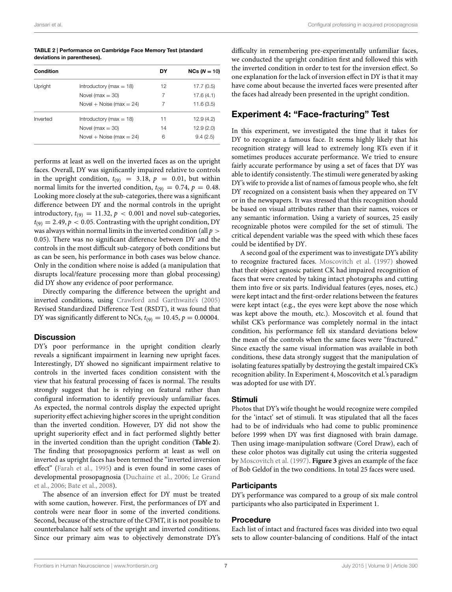<span id="page-6-0"></span>TABLE 2 | Performance on Cambridge Face Memory Test (standard deviations in parentheses).

| Condition |                             | DY | $NCs (N = 10)$ |  |  |
|-----------|-----------------------------|----|----------------|--|--|
| Upright   | Introductory ( $max = 18$ ) | 12 | 17.7(0.5)      |  |  |
|           | Novel ( $max = 30$ )        | 7  | 17.6(4.1)      |  |  |
|           | Novel + Noise (max = $24$ ) | 7  | 11.6(3.5)      |  |  |
| Inverted  | Introductory ( $max = 18$ ) | 11 | 12.9(4.2)      |  |  |
|           | Novel ( $max = 30$ )        | 14 | 12.9(2.0)      |  |  |
|           | Novel + Noise (max $= 24$ ) | 6  | 9.4(2.5)       |  |  |

performs at least as well on the inverted faces as on the upright faces. Overall, DY was significantly impaired relative to controls in the upright condition,  $t_{(9)} = 3.18$ ,  $p = 0.01$ , but within normal limits for the inverted condition,  $t_{(9)} = 0.74$ ,  $p = 0.48$ . Looking more closely at the sub-categories, there was a significant difference between DY and the normal controls in the upright introductory,  $t_{(9)} = 11.32$ ,  $p < 0.001$  and novel sub-categories,  $t_{(9)} = 2.49, p < 0.05$ . Contrasting with the upright condition, DY was always within normal limits in the inverted condition (all  $p >$ 0.05). There was no significant difference between DY and the controls in the most difficult sub-category of both conditions but as can be seen, his performance in both cases was below chance. Only in the condition where noise is added (a manipulation that disrupts local/feature processing more than global processing) did DY show any evidence of poor performance.

Directly comparing the difference between the upright and inverted conditions, using [Crawford and Garthwaite's](#page-14-31) [\(2005\)](#page-14-31) Revised Standardized Difference Test (RSDT), it was found that DY was significantly different to NCs,  $t_{(9)} = 10.45$ ,  $p = 0.00004$ .

### **Discussion**

DY's poor performance in the upright condition clearly reveals a significant impairment in learning new upright faces. Interestingly, DY showed no significant impairment relative to controls in the inverted faces condition consistent with the view that his featural processing of faces is normal. The results strongly suggest that he is relying on featural rather than configural information to identify previously unfamiliar faces. As expected, the normal controls display the expected upright superiority effect achieving higher scores in the upright condition than the inverted condition. However, DY did not show the upright superiority effect and in fact performed slightly better in the inverted condition than the upright condition (**[Table 2](#page-6-0)**). The finding that prosopagnosics perform at least as well on inverted as upright faces has been termed the "inverted inversion effect" [\(Farah et al., 1995\)](#page-14-32) and is even found in some cases of developmental prosopagnosia [\(Duchaine et al., 2006;](#page-14-33) Le Grand et al., [2006;](#page-14-34) [Bate et al., 2008\)](#page-13-4).

The absence of an inversion effect for DY must be treated with some caution, however. First, the performances of DY and controls were near floor in some of the inverted conditions. Second, because of the structure of the CFMT, it is not possible to counterbalance half sets of the upright and inverted conditions. Since our primary aim was to objectively demonstrate DY's

difficulty in remembering pre-experimentally unfamiliar faces, we conducted the upright condition first and followed this with the inverted condition in order to test for the inversion effect. So one explanation for the lack of inversion effect in DY is that it may have come about because the inverted faces were presented after the faces had already been presented in the upright condition.

# Experiment 4: "Face-fracturing" Test

In this experiment, we investigated the time that it takes for DY to recognize a famous face. It seems highly likely that his recognition strategy will lead to extremely long RTs even if it sometimes produces accurate performance. We tried to ensure fairly accurate performance by using a set of faces that DY was able to identify consistently. The stimuli were generated by asking DY's wife to provide a list of names of famous people who, she felt DY recognized on a consistent basis when they appeared on TV or in the newspapers. It was stressed that this recognition should be based on visual attributes rather than their names, voices or any semantic information. Using a variety of sources, 25 easily recognizable photos were compiled for the set of stimuli. The critical dependent variable was the speed with which these faces could be identified by DY.

A second goal of the experiment was to investigate DY's ability to recognize fractured faces. [Moscovitch et al.](#page-14-4) [\(1997\)](#page-14-4) showed that their object agnosic patient CK had impaired recognition of faces that were created by taking intact photographs and cutting them into five or six parts. Individual features (eyes, noses, etc.) were kept intact and the first-order relations between the features were kept intact (e.g., the eyes were kept above the nose which was kept above the mouth, etc.). Moscovitch et al. found that whilst CK's performance was completely normal in the intact condition, his performance fell six standard deviations below the mean of the controls when the same faces were "fractured." Since exactly the same visual information was available in both conditions, these data strongly suggest that the manipulation of isolating features spatially by destroying the gestalt impaired CK's recognition ability. In Experiment 4, Moscovitch et al.'s paradigm was adopted for use with DY.

# Stimuli

Photos that DY's wife thought he would recognize were compiled for the 'intact' set of stimuli. It was stipulated that all the faces had to be of individuals who had come to public prominence before 1999 when DY was first diagnosed with brain damage. Then using image-manipulation software (Corel Draw), each of these color photos was digitally cut using the criteria suggested by [Moscovitch et al.](#page-14-4) [\(1997\)](#page-14-4). **[Figure 3](#page-7-0)** gives an example of the face of Bob Geldof in the two conditions. In total 25 faces were used.

# **Participants**

DY's performance was compared to a group of six male control participants who also participated in Experiment 1.

# **Procedure**

Each list of intact and fractured faces was divided into two equal sets to allow counter-balancing of conditions. Half of the intact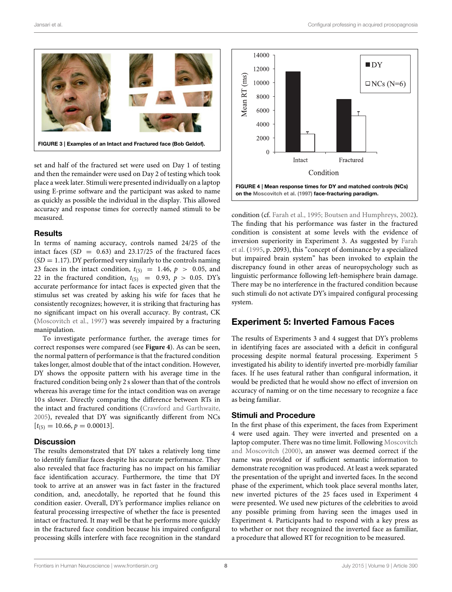

<span id="page-7-0"></span>set and half of the fractured set were used on Day 1 of testing and then the remainder were used on Day 2 of testing which took place a week later. Stimuli were presented individually on a laptop using E-prime software and the participant was asked to name as quickly as possible the individual in the display. This allowed accuracy and response times for correctly named stimuli to be measured.

#### **Results**

In terms of naming accuracy, controls named 24/25 of the intact faces  $(SD = 0.63)$  and 23.17/25 of the fractured faces  $(SD = 1.17)$ . DY performed very similarly to the controls naming 23 faces in the intact condition,  $t_{(5)} = 1.46$ ,  $p > 0.05$ , and 22 in the fractured condition,  $t_{(5)}$  = 0.93,  $p > 0.05$ . DY's accurate performance for intact faces is expected given that the stimulus set was created by asking his wife for faces that he consistently recognizes; however, it is striking that fracturing has no significant impact on his overall accuracy. By contrast, CK [\(Moscovitch et al., 1997\)](#page-14-4) was severely impaired by a fracturing manipulation.

To investigate performance further, the average times for correct responses were compared (see **[Figure 4](#page-7-1)**). As can be seen, the normal pattern of performance is that the fractured condition takes longer, almost double that of the intact condition. However, DY shows the opposite pattern with his average time in the fractured condition being only 2 s slower than that of the controls whereas his average time for the intact condition was on average 10 s slower. Directly comparing the difference between RTs in the intact and fractured conditions [\(Crawford and Garthwaite,](#page-14-31) [2005\)](#page-14-31), revealed that DY was significantly different from NCs  $[t_{(5)} = 10.66, p = 0.00013].$ 

#### **Discussion**

The results demonstrated that DY takes a relatively long time to identify familiar faces despite his accurate performance. They also revealed that face fracturing has no impact on his familiar face identification accuracy. Furthermore, the time that DY took to arrive at an answer was in fact faster in the fractured condition, and, anecdotally, he reported that he found this condition easier. Overall, DY's performance implies reliance on featural processing irrespective of whether the face is presented intact or fractured. It may well be that he performs more quickly in the fractured face condition because his impaired configural processing skills interfere with face recognition in the standard



<span id="page-7-1"></span>condition (cf. [Farah et al., 1995;](#page-14-32) [Boutsen and Humphreys, 2002\)](#page-13-5). The finding that his performance was faster in the fractured condition is consistent at some levels with the evidence of inversion superiority in Experiment 3. As suggested by Farah et al. [\(1995,](#page-14-32) p. 2093), this "concept of dominance by a specialized but impaired brain system" has been invoked to explain the discrepancy found in other areas of neuropsychology such as linguistic performance following left-hemisphere brain damage. There may be no interference in the fractured condition because such stimuli do not activate DY's impaired configural processing system.

# Experiment 5: Inverted Famous Faces

The results of Experiments 3 and 4 suggest that DY's problems in identifying faces are associated with a deficit in configural processing despite normal featural processing. Experiment 5 investigated his ability to identify inverted pre-morbidly familiar faces. If he uses featural rather than configural information, it would be predicted that he would show no effect of inversion on accuracy of naming or on the time necessary to recognize a face as being familiar.

#### Stimuli and Procedure

In the first phase of this experiment, the faces from Experiment 4 were used again. They were inverted and presented on a laptop computer. There was no time limit. Following Moscovitch and Moscovitch [\(2000\)](#page-14-13), an answer was deemed correct if the name was provided or if sufficient semantic information to demonstrate recognition was produced. At least a week separated the presentation of the upright and inverted faces. In the second phase of the experiment, which took place several months later, new inverted pictures of the 25 faces used in Experiment 4 were presented. We used new pictures of the celebrities to avoid any possible priming from having seen the images used in Experiment 4. Participants had to respond with a key press as to whether or not they recognized the inverted face as familiar, a procedure that allowed RT for recognition to be measured.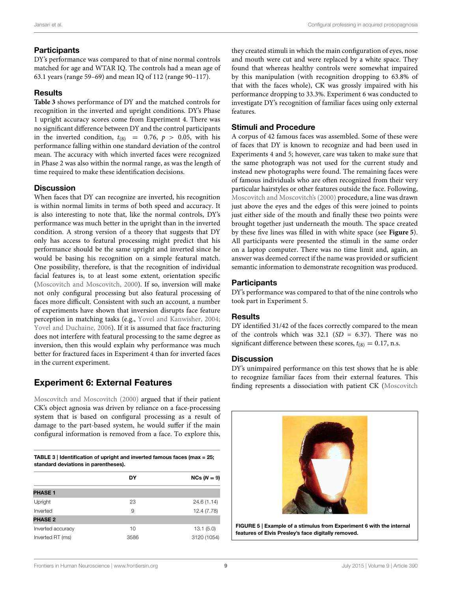# **Participants**

DY's performance was compared to that of nine normal controls matched for age and WTAR IQ. The controls had a mean age of 63.1 years (range 59–69) and mean IQ of 112 (range 90–117).

### Results

**[Table 3](#page-8-0)** shows performance of DY and the matched controls for recognition in the inverted and upright conditions. DY's Phase 1 upright accuracy scores come from Experiment 4. There was no significant difference between DY and the control participants in the inverted condition,  $t_{(8)} = 0.76$ ,  $p > 0.05$ , with his performance falling within one standard deviation of the control mean. The accuracy with which inverted faces were recognized in Phase 2 was also within the normal range, as was the length of time required to make these identification decisions.

### **Discussion**

When faces that DY can recognize are inverted, his recognition is within normal limits in terms of both speed and accuracy. It is also interesting to note that, like the normal controls, DY's performance was much better in the upright than in the inverted condition. A strong version of a theory that suggests that DY only has access to featural processing might predict that his performance should be the same upright and inverted since he would be basing his recognition on a simple featural match. One possibility, therefore, is that the recognition of individual facial features is, to at least some extent, orientation specific [\(Moscovitch and Moscovitch, 2000\)](#page-14-13). If so, inversion will make not only configural processing but also featural processing of faces more difficult. Consistent with such an account, a number of experiments have shown that inversion disrupts face feature perception in matching tasks (e.g., [Yovel and Kanwisher, 2004;](#page-15-2) [Yovel and Duchaine, 2006\)](#page-15-3). If it is assumed that face fracturing does not interfere with featural processing to the same degree as inversion, then this would explain why performance was much better for fractured faces in Experiment 4 than for inverted faces in the current experiment.

# Experiment 6: External Features

[Moscovitch and Moscovitch](#page-14-13) [\(2000\)](#page-14-13) argued that if their patient CK's object agnosia was driven by reliance on a face-processing system that is based on configural processing as a result of damage to the part-based system, he would suffer if the main configural information is removed from a face. To explore this,

<span id="page-8-0"></span>

| TABLE 3   Identification of upright and inverted famous faces (max = 25; |
|--------------------------------------------------------------------------|
| standard deviations in parentheses).                                     |

|                   | DY   | $NCs (N = 9)$ |
|-------------------|------|---------------|
| <b>PHASE 1</b>    |      |               |
| Upright           | 23   | 24.6 (1.14)   |
| Inverted          | 9    | 12.4 (7.78)   |
| <b>PHASE 2</b>    |      |               |
| Inverted accuracy | 10   | 13.1(5.0)     |
| Inverted RT (ms)  | 3586 | 3120 (1054)   |

they created stimuli in which the main configuration of eyes, nose and mouth were cut and were replaced by a white space. They found that whereas healthy controls were somewhat impaired by this manipulation (with recognition dropping to 63.8% of that with the faces whole), CK was grossly impaired with his performance dropping to 33.3%. Experiment 6 was conducted to investigate DY's recognition of familiar faces using only external features.

# Stimuli and Procedure

A corpus of 42 famous faces was assembled. Some of these were of faces that DY is known to recognize and had been used in Experiments 4 and 5; however, care was taken to make sure that the same photograph was not used for the current study and instead new photographs were found. The remaining faces were of famous individuals who are often recognized from their very particular hairstyles or other features outside the face. Following, [Moscovitch and Moscovitch's](#page-14-13) [\(2000\)](#page-14-13) procedure, a line was drawn just above the eyes and the edges of this were joined to points just either side of the mouth and finally these two points were brought together just underneath the mouth. The space created by these five lines was filled in with white space (see **[Figure 5](#page-8-1)**). All participants were presented the stimuli in the same order on a laptop computer. There was no time limit and, again, an answer was deemed correct if the name was provided or sufficient semantic information to demonstrate recognition was produced.

# Participants

DY's performance was compared to that of the nine controls who took part in Experiment 5.

# **Results**

DY identified 31/42 of the faces correctly compared to the mean of the controls which was  $32.1$  (SD = 6.37). There was no significant difference between these scores,  $t_{(8)} = 0.17$ , n.s.

### **Discussion**

DY's unimpaired performance on this test shows that he is able to recognize familiar faces from their external features. This finding represents a dissociation with patient CK (Moscovitch

<span id="page-8-1"></span>

FIGURE 5 | Example of a stimulus from Experiment 6 with the internal features of Elvis Presley's face digitally removed.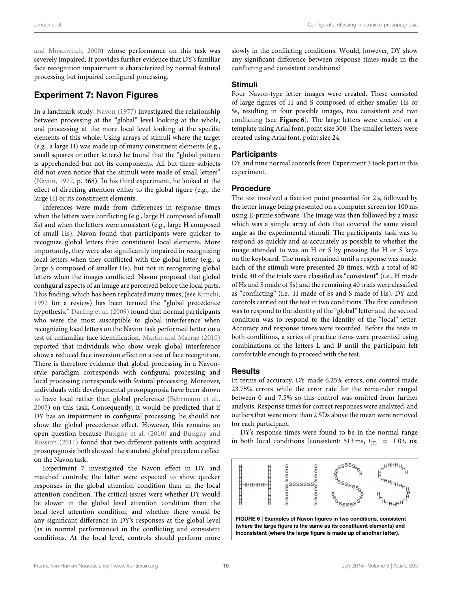and Moscovitch, [2000\)](#page-14-13) whose performance on this task was severely impaired. It provides further evidence that DY's familiar face recognition impairment is characterized by normal featural processing but impaired configural processing.

# Experiment 7: Navon Figures

In a landmark study, [Navon](#page-14-19) [\(1977\)](#page-14-19) investigated the relationship between processing at the "global" level looking at the whole, and processing at the more local level looking at the specific elements of this whole. Using arrays of stimuli where the target (e.g., a large H) was made up of many constituent elements (e.g., small squares or other letters) he found that the "global pattern is apprehended but not its components. All but three subjects did not even notice that the stimuli were made of small letters" [\(Navon, 1977,](#page-14-19) p. 368). In his third experiment, he looked at the effect of directing attention either to the global figure (e.g., the large H) or its constituent elements.

Inferences were made from differences in response times when the letters were conflicting (e.g., large H composed of small Ss) and when the letters were consistent (e.g., large H composed of small Hs). Navon found that participants were quicker to recognize global letters than constituent local elements. More importantly, they were also significantly impaired in recognizing local letters when they conflicted with the global letter (e.g., a large S composed of smaller Hs), but not in recognizing global letters when the images conflicted. Navon proposed that global configural aspects of an image are perceived before the local parts. This finding, which has been replicated many times, (see [Kimchi,](#page-14-35) [1992](#page-14-35) for a review) has been termed the "global precedence hypothesis." [Darling et al.](#page-14-36) [\(2009\)](#page-14-36) found that normal participants who were the most susceptible to global interference when recognizing local letters on the Navon task performed better on a test of unfamiliar face identification. [Martin and Macrae](#page-14-37) [\(2010\)](#page-14-37) reported that individuals who show weak global interference show a reduced face inversion effect on a test of face recognition. There is therefore evidence that global processing in a Navonstyle paradigm corresponds with configural processing and local processing corresponds with featural processing. Moreover, individuals with developmental prosopagnosia have been shown to have local rather than global preference [\(Behrmann et al.,](#page-13-6) [2005\)](#page-13-6) on this task. Consequently, it would be predicted that if DY has an impairment in configural processing, he should not show the global precedence effect. However, this remains an open question because [Busigny et al.](#page-14-16) [\(2010\)](#page-14-16) and Busigny and Rossion [\(2011\)](#page-14-38) found that two different patients with acquired prosopagnosia both showed the standard global precedence effect on the Navon task.

Experiment 7 investigated the Navon effect in DY and matched controls; the latter were expected to show quicker responses in the global attention condition than in the local attention condition. The critical issues were whether DY would be slower in the global level attention condition than the local level attention condition, and whether there would be any significant difference in DY's responses at the global level (as in normal performance) in the conflicting and consistent conditions. At the local level, controls should perform more

slowly in the conflicting conditions. Would, however, DY show any significant difference between response times made in the conflicting and consistent conditions?

### Stimuli

Four Navon-type letter images were created. These consisted of large figures of H and S composed of either smaller Hs or Ss, resulting in four possible images, two consistent and two conflicting (see **[Figure 6](#page-9-0)**). The large letters were created on a template using Arial font, point size 300. The smaller letters were created using Arial font, point size 24.

# **Participants**

DY and nine normal controls from Experiment 3 took part in this experiment.

### Procedure

The test involved a fixation point presented for 2 s, followed by the letter image being presented on a computer screen for 100 ms using E-prime software. The image was then followed by a mask which was a simple array of dots that covered the same visual angle as the experimental stimuli. The participants' task was to respond as quickly and as accurately as possible to whether the image attended to was an H or S by pressing the H or S keys on the keyboard. The mask remained until a response was made. Each of the stimuli were presented 20 times, with a total of 80 trials; 40 of the trials were classified as "consistent" (i.e., H made of Hs and S made of Ss) and the remaining 40 trials were classified as "conflicting" (i.e., H made of Ss and S made of Hs). DY and controls carried out the test in two conditions. The first condition was to respond to the identity of the "global" letter and the second condition was to respond to the identity of the "local" letter. Accuracy and response times were recorded. Before the tests in both conditions, a series of practice items were presented using combinations of the letters L and B until the participant felt comfortable enough to proceed with the test.

### Results

In terms of accuracy, DY made 6.25% errors; one control made 23.75% errors while the error rate for the remainder ranged between 0 and 7.5% so this control was omitted from further analysis. Response times for correct responses were analyzed, and outliers that were more than 2 SDs above the mean were removed for each participant.

DY's response times were found to be in the normal range in both local conditions [consistent: 513 ms,  $t_{(7)} = 1.03$ , ns;

<span id="page-9-0"></span>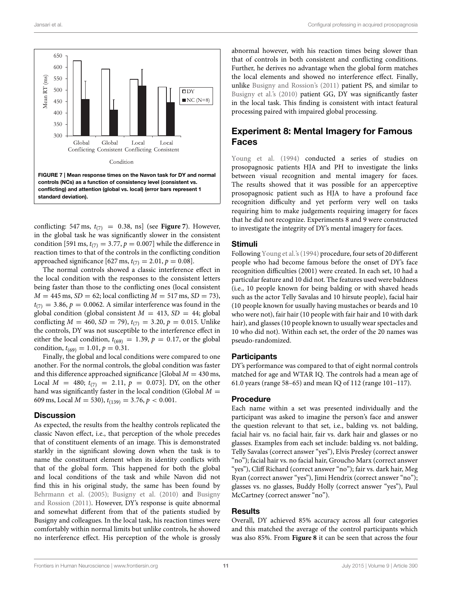

<span id="page-10-0"></span>conflicting: 547 ms,  $t_{(7)} = 0.38$ , ns] (see **[Figure 7](#page-10-0)**). However, in the global task he was significantly slower in the consistent condition [591 ms,  $t_{(7)} = 3.77$ ,  $p = 0.007$ ] while the difference in reaction times to that of the controls in the conflicting condition approached significance [627 ms,  $t_{(7)} = 2.01$ ,  $p = 0.08$ ].

The normal controls showed a classic interference effect in the local condition with the responses to the consistent letters being faster than those to the conflicting ones (local consistent  $M = 445$  ms,  $SD = 62$ ; local conflicting  $M = 517$  ms,  $SD = 73$ ),  $t_{(7)} = 3.86, p = 0.0062$ . A similar interference was found in the global condition (global consistent  $M = 413$ ,  $SD = 44$ ; global conflicting  $M = 460$ ,  $SD = 79$ ),  $t_{(7)} = 3.20$ ,  $p = 0.015$ . Unlike the controls, DY was not susceptible to the interference effect in either the local condition,  $t_{(69)} = 1.39$ ,  $p = 0.17$ , or the global condition,  $t_{(69)} = 1.01$ ,  $p = 0.31$ .

Finally, the global and local conditions were compared to one another. For the normal controls, the global condition was faster and this difference approached significance [Global  $M = 430$  ms, Local  $M = 480$ ;  $t_{(7)} = 2.11$ ,  $p = 0.073$ ]. DY, on the other hand was significantly faster in the local condition (Global  $M =$ 609 ms, Local  $M = 530$ ),  $t_{(139)} = 3.76$ ,  $p < 0.001$ .

#### **Discussion**

As expected, the results from the healthy controls replicated the classic Navon effect, i.e., that perception of the whole precedes that of constituent elements of an image. This is demonstrated starkly in the significant slowing down when the task is to name the constituent element when its identity conflicts with that of the global form. This happened for both the global and local conditions of the task and while Navon did not find this in his original study, the same has been found by [Behrmann et al.](#page-13-6) [\(2005\)](#page-13-6); [Busigny et al.](#page-14-16) [\(2010\)](#page-14-16) and Busigny and Rossion [\(2011\)](#page-14-38). However, DY's response is quite abnormal and somewhat different from that of the patients studied by Busigny and colleagues. In the local task, his reaction times were comfortably within normal limits but unlike controls, he showed no interference effect. His perception of the whole is grossly abnormal however, with his reaction times being slower than that of controls in both consistent and conflicting conditions. Further, he derives no advantage when the global form matches the local elements and showed no interference effect. Finally, unlike [Busigny and Rossion's](#page-14-38) [\(2011\)](#page-14-38) patient PS, and similar to [Busigny et al.'s](#page-14-16) [\(2010\)](#page-14-16) patient GG, DY was significantly faster in the local task. This finding is consistent with intact featural processing paired with impaired global processing.

# Experiment 8: Mental Imagery for Famous Faces

[Young et al.](#page-15-0) [\(1994\)](#page-15-0) conducted a series of studies on prosopagnosic patients HJA and PH to investigate the links between visual recognition and mental imagery for faces. The results showed that it was possible for an apperceptive prosopagnosic patient such as HJA to have a profound face recognition difficulty and yet perform very well on tasks requiring him to make judgements requiring imagery for faces that he did not recognize. Experiments 8 and 9 were constructed to investigate the integrity of DY's mental imagery for faces.

#### Stimuli

Following [Young et al.'s](#page-15-0) [\(1994\)](#page-15-0) procedure, four sets of 20 different people who had become famous before the onset of DY's face recognition difficulties (2001) were created. In each set, 10 had a particular feature and 10 did not. The features used were baldness (i.e., 10 people known for being balding or with shaved heads such as the actor Telly Savalas and 10 hirsute people), facial hair (10 people known for usually having mustaches or beards and 10 who were not), fair hair (10 people with fair hair and 10 with dark hair), and glasses (10 people known to usually wear spectacles and 10 who did not). Within each set, the order of the 20 names was pseudo-randomized.

#### **Participants**

DY's performance was compared to that of eight normal controls matched for age and WTAR IQ. The controls had a mean age of 61.0 years (range 58–65) and mean IQ of 112 (range 101–117).

#### Procedure

Each name within a set was presented individually and the participant was asked to imagine the person's face and answer the question relevant to that set, i.e., balding vs. not balding, facial hair vs. no facial hair, fair vs. dark hair and glasses or no glasses. Examples from each set include: balding vs. not balding, Telly Savalas (correct answer "yes"), Elvis Presley (correct answer "no"); facial hair vs. no facial hair, Groucho Marx (correct answer "yes"), Cliff Richard (correct answer "no"); fair vs. dark hair, Meg Ryan (correct answer "yes"), Jimi Hendrix (correct answer "no"); glasses vs. no glasses, Buddy Holly (correct answer "yes"), Paul McCartney (correct answer "no").

#### **Results**

Overall, DY achieved 85% accuracy across all four categories and this matched the average of the control participants which was also 85%. From **[Figure 8](#page-11-0)** it can be seen that across the four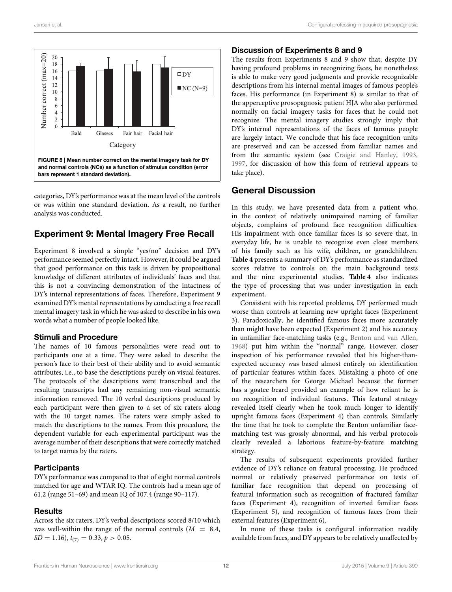

<span id="page-11-0"></span>categories, DY's performance was at the mean level of the controls or was within one standard deviation. As a result, no further analysis was conducted.

# Experiment 9: Mental Imagery Free Recall

Experiment 8 involved a simple "yes/no" decision and DY's performance seemed perfectly intact. However, it could be argued that good performance on this task is driven by propositional knowledge of different attributes of individuals' faces and that this is not a convincing demonstration of the intactness of DY's internal representations of faces. Therefore, Experiment 9 examined DY's mental representations by conducting a free recall mental imagery task in which he was asked to describe in his own words what a number of people looked like.

### Stimuli and Procedure

The names of 10 famous personalities were read out to participants one at a time. They were asked to describe the person's face to their best of their ability and to avoid semantic attributes, i.e., to base the descriptions purely on visual features. The protocols of the descriptions were transcribed and the resulting transcripts had any remaining non-visual semantic information removed. The 10 verbal descriptions produced by each participant were then given to a set of six raters along with the 10 target names. The raters were simply asked to match the descriptions to the names. From this procedure, the dependent variable for each experimental participant was the average number of their descriptions that were correctly matched to target names by the raters.

### **Participants**

DY's performance was compared to that of eight normal controls matched for age and WTAR IQ. The controls had a mean age of 61.2 (range 51–69) and mean IQ of 107.4 (range 90–117).

### **Results**

Across the six raters, DY's verbal descriptions scored 8/10 which was well-within the range of the normal controls  $(M = 8.4,$  $SD = 1.16$ ,  $t_{(7)} = 0.33$ ,  $p > 0.05$ .

### Discussion of Experiments 8 and 9

The results from Experiments 8 and 9 show that, despite DY having profound problems in recognizing faces, he nonetheless is able to make very good judgments and provide recognizable descriptions from his internal mental images of famous people's faces. His performance (in Experiment 8) is similar to that of the apperceptive prosopagnosic patient HJA who also performed normally on facial imagery tasks for faces that he could not recognize. The mental imagery studies strongly imply that DY's internal representations of the faces of famous people are largely intact. We conclude that his face recognition units are preserved and can be accessed from familiar names and from the semantic system (see [Craigie and Hanley, 1993,](#page-14-39) [1997,](#page-14-40) for discussion of how this form of retrieval appears to take place).

# General Discussion

In this study, we have presented data from a patient who, in the context of relatively unimpaired naming of familiar objects, complains of profound face recognition difficulties. His impairment with once familiar faces is so severe that, in everyday life, he is unable to recognize even close members of his family such as his wife, children, or grandchildren. **[Table 4](#page-12-0)** presents a summary of DY's performance as standardized scores relative to controls on the main background tests and the nine experimental studies. **[Table 4](#page-12-0)** also indicates the type of processing that was under investigation in each experiment.

Consistent with his reported problems, DY performed much worse than controls at learning new upright faces (Experiment 3). Paradoxically, he identified famous faces more accurately than might have been expected (Experiment 2) and his accuracy in unfamiliar face-matching tasks (e.g., [Benton and van Allen,](#page-13-3) [1968\)](#page-13-3) put him within the "normal" range. However, closer inspection of his performance revealed that his higher-thanexpected accuracy was based almost entirely on identification of particular features within faces. Mistaking a photo of one of the researchers for George Michael because the former has a goatee beard provided an example of how reliant he is on recognition of individual features. This featural strategy revealed itself clearly when he took much longer to identify upright famous faces (Experiment 4) than controls. Similarly the time that he took to complete the Benton unfamiliar facematching test was grossly abnormal, and his verbal protocols clearly revealed a laborious feature-by-feature matching strategy.

The results of subsequent experiments provided further evidence of DY's reliance on featural processing. He produced normal or relatively preserved performance on tests of familiar face recognition that depend on processing of featural information such as recognition of fractured familiar faces (Experiment 4), recognition of inverted familiar faces (Experiment 5), and recognition of famous faces from their external features (Experiment 6).

In none of these tasks is configural information readily available from faces, and DY appears to be relatively unaffected by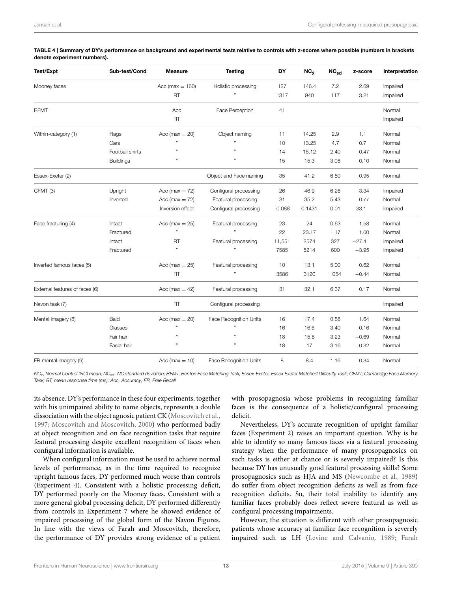| Test/Expt                      | Sub-test/Cond    | <b>Measure</b>      | <b>Testing</b>                | DY       | $NC_{\dot{x}}$ | $NC_{sd}$ | z-score | Interpretation |
|--------------------------------|------------------|---------------------|-------------------------------|----------|----------------|-----------|---------|----------------|
| Mooney faces                   |                  | Acc ( $max = 160$ ) | Holistic processing           | 127      | 146.4          | 7.2       | 2.69    | Impaired       |
|                                |                  | <b>RT</b>           |                               | 1317     | 940            | 117       | 3.21    | Impaired       |
| <b>BFMT</b>                    |                  | Acc                 | Face Perception               | 41       |                |           |         | Normal         |
|                                |                  | <b>RT</b>           |                               |          |                |           |         | Impaired       |
| Within-category (1)            | Flags            | Acc ( $max = 20$ )  | Object naming                 | 11       | 14.25          | 2.9       | 1.1     | Normal         |
|                                | Cars             |                     |                               | 10       | 13.25          | 4.7       | 0.7     | Normal         |
|                                | Football shirts  |                     | ,,                            | 14       | 15.12          | 2.40      | 0.47    | Normal         |
|                                | <b>Buildings</b> | ,,                  | ,,                            | 15       | 15.3           | 3.08      | 0.10    | Normal         |
| Essex-Exeter (2)               |                  |                     | Object and Face naming        | 35       | 41.2           | 6.50      | 0.95    | Normal         |
| CFMT (3)                       | Upright          | Acc ( $max = 72$ )  | Configural processing         | 26       | 46.9           | 6.26      | 3.34    | Impaired       |
|                                | Inverted         | Acc ( $max = 72$ )  | Featural processing           | 31       | 35.2           | 5.43      | 0.77    | Normal         |
|                                |                  | Inversion effect    | Configural processing         | $-0.088$ | 0.1431         | 0.01      | 33.1    | Impaired       |
| Face fracturing (4)            | Intact           | Acc (max $= 25$ )   | Featural processing           | 23       | 24             | 0.63      | 1.58    | Normal         |
|                                | Fractured        |                     |                               | 22       | 23.17          | 1.17      | 1.00    | Normal         |
|                                | Intact           | <b>RT</b>           | Featural processing           | 11,551   | 2574           | 327       | $-27.4$ | Impaired       |
|                                | Fractured        | ,,                  | ,,                            | 7585     | 5214           | 600       | $-3.95$ | Impaired       |
| Inverted famous faces (5)      |                  | Acc (max $= 25$ )   | Featural processing           | 10       | 13.1           | 5.00      | 0.62    | Normal         |
|                                |                  | <b>RT</b>           | ,,                            | 3586     | 3120           | 1054      | $-0.44$ | Normal         |
| External features of faces (6) |                  | Acc (max $= 42$ )   | Featural processing           | 31       | 32.1           | 6.37      | 0.17    | Normal         |
| Navon task (7)                 |                  | <b>RT</b>           | Configural processing         |          |                |           |         | Impaired       |
| Mental imagery (8)             | Bald             | Acc ( $max = 20$ )  | <b>Face Recognition Units</b> | 16       | 17.4           | 0.88      | 1.64    | Normal         |
|                                | Glasses          |                     |                               | 16       | 16.6           | 3.40      | 0.16    | Normal         |
|                                | Fair hair        |                     |                               | 18       | 15.8           | 3.23      | $-0.69$ | Normal         |
|                                | Facial hair      |                     | ,                             | 18       | 17             | 3.16      | $-0.32$ | Normal         |
| FR mental imagery (9)          |                  | Acc ( $max = 10$ )  | <b>Face Recognition Units</b> | 8        | 8.4            | 1.16      | 0.34    | Normal         |

<span id="page-12-0"></span>TABLE 4 | Summary of DY's performance on background and experimental tests relative to controls with z-scores where possible (numbers in brackets denote experiment numbers).

NC<sub>x</sub>; Normal Control (NC) mean; NC<sub>sd</sub>, NC standard deviation; BFMT, Benton Face Matching Task; Essex-Exeter, Essex Exeter Matched Difficulty Task; CFMT, Cambridge Face Memory Task; RT, mean response time (ms); Acc, Accuracy; FR, Free Recall.

its absence. DY's performance in these four experiments, together with his unimpaired ability to name objects, represents a double dissociation with the object agnosic patient CK [\(Moscovitch et al.,](#page-14-4) [1997;](#page-14-4) [Moscovitch and Moscovitch, 2000\)](#page-14-13) who performed badly at object recognition and on face recognition tasks that require featural processing despite excellent recognition of faces when configural information is available.

When configural information must be used to achieve normal levels of performance, as in the time required to recognize upright famous faces, DY performed much worse than controls (Experiment 4). Consistent with a holistic processing deficit, DY performed poorly on the Mooney faces. Consistent with a more general global processing deficit, DY performed differently from controls in Experiment 7 where he showed evidence of impaired processing of the global form of the Navon Figures. In line with the views of Farah and Moscovitch, therefore, the performance of DY provides strong evidence of a patient with prosopagnosia whose problems in recognizing familiar faces is the consequence of a holistic/configural processing deficit.

Nevertheless, DY's accurate recognition of upright familiar faces (Experiment 2) raises an important question. Why is he able to identify so many famous faces via a featural processing strategy when the performance of many prosopagnosics on such tasks is either at chance or is severely impaired? Is this because DY has unusually good featural processing skills? Some prosopagnosics such as HJA and MS [\(Newcombe et al., 1989\)](#page-14-41) do suffer from object recognition deficits as well as from face recognition deficits. So, their total inability to identify any familiar faces probably does reflect severe featural as well as configural processing impairments.

However, the situation is different with other prosopagnosic patients whose accuracy at familiar face recognition is severely impaired such as LH [\(Levine and Calvanio, 1989;](#page-14-42) Farah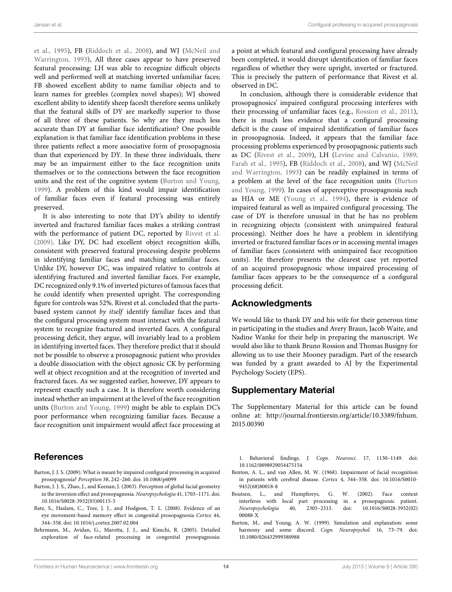et al., [1995\)](#page-14-32), FB [\(Riddoch et al., 2008\)](#page-14-1), and WJ (McNeil and Warrington, [1993\)](#page-14-0), All three cases appear to have preserved featural processing: LH was able to recognize difficult objects well and performed well at matching inverted unfamiliar faces; FB showed excellent ability to name familiar objects and to learn names for greebles (complex novel shapes); WJ showed excellent ability to identify sheep facesIt therefore seems unlikely that the featural skills of DY are markedly superior to those of all three of these patients. So why are they much less accurate than DY at familiar face identification? One possible explanation is that familiar face identification problems in these three patients reflect a more associative form of prosopagnosia than that experienced by DY. In these three individuals, there may be an impairment either to the face recognition units themselves or to the connections between the face recognition units and the rest of the cognitive system [\(Burton and Young,](#page-13-2) [1999\)](#page-13-2). A problem of this kind would impair identification of familiar faces even if featural processing was entirely preserved.

It is also interesting to note that DY's ability to identify inverted and fractured familiar faces makes a striking contrast with the performance of patient DC, reported by [Rivest et al.](#page-14-2) [\(2009\)](#page-14-2). Like DY, DC had excellent object recognition skills, consistent with preserved featural processing despite problems in identifying familiar faces and matching unfamiliar faces. Unlike DY, however DC, was impaired relative to controls at identifying fractured and inverted familiar faces. For example, DC recognized only 9.1% of inverted pictures of famous faces that he could identify when presented upright. The corresponding figure for controls was 52%. Rivest et al. concluded that the partsbased system cannot by itself identify familiar faces and that the configural processing system must interact with the featural system to recognize fractured and inverted faces. A configural processing deficit, they argue, will invariably lead to a problem in identifying inverted faces. They therefore predict that it should not be possible to observe a prosopagnosic patient who provides a double dissociation with the object agnosic CK by performing well at object recognition and at the recognition of inverted and fractured faces. As we suggested earlier, however, DY appears to represent exactly such a case. It is therefore worth considering instead whether an impairment at the level of the face recognition units [\(Burton and Young, 1999\)](#page-13-2) might be able to explain DC's poor performance when recognizing familiar faces. Because a face recognition unit impairment would affect face processing at

# References

- <span id="page-13-0"></span>Barton, J. J. S. (2009). What is meant by impaired configural processing in acquired prosopagnosia? Perception 38, 242–260. doi: 10.1068/p6099
- <span id="page-13-1"></span>Barton, J. J. S., Zhao, J., and Keenan, J. (2003). Perception of global facial geometry in the inversion effect and prosopagnosia. Neuropsychologia 41, 1703–1171. doi: 10.1016/S0028-3932(03)00115-5
- <span id="page-13-4"></span>Bate, S., Haslam, C., Tree, J. J., and Hodgson, T. L. (2008). Evidence of an eye movement-based memory effect in congenital prosopagnosia Cortex 44, 344–358. doi: 10.1016/j.cortex.2007.02.004
- <span id="page-13-6"></span>Behrmann, M., Avidan, G., Marotta, J. J., and Kimchi, R. (2005). Detailed exploration of face-related processing in congenital prosopagnosia:

a point at which featural and configural processing have already been completed, it would disrupt identification of familiar faces regardless of whether they were upright, inverted or fractured. This is precisely the pattern of performance that Rivest et al. observed in DC.

In conclusion, although there is considerable evidence that prosopagnosics' impaired configural processing interferes with their processing of unfamiliar faces (e.g., [Rossion et al., 2011\)](#page-14-3), there is much less evidence that a configural processing deficit is the cause of impaired identification of familiar faces in prosopagnosia. Indeed, it appears that the familiar face processing problems experienced by prosopagnosic patients such as DC [\(Rivest et al., 2009\)](#page-14-2), LH [\(Levine and Calvanio, 1989;](#page-14-42) [Farah et al., 1995\)](#page-14-32), FB [\(Riddoch et al., 2008\)](#page-14-1), and WJ (McNeil and Warrington, [1993\)](#page-14-0) can be readily explained in terms of a problem at the level of the face recognition units (Burton and Young, [1999\)](#page-13-2). In cases of apperceptive prosopagnosia such as HJA or ME [\(Young et al., 1994\)](#page-15-0), there is evidence of impaired featural as well as impaired configural processing. The case of DY is therefore unusual in that he has no problem in recognizing objects (consistent with unimpaired featural processing). Neither does he have a problem in identifying inverted or fractured familiar faces or in accessing mental images of familiar faces (consistent with unimpaired face recognition units). He therefore presents the clearest case yet reported of an acquired prosopagnosic whose impaired processing of familiar faces appears to be the consequence of a configural processing deficit.

# Acknowledgments

We would like to thank DY and his wife for their generous time in participating in the studies and Avery Braun, Jacob Waite, and Nadine Wanke for their help in preparing the manuscript. We would also like to thank Bruno Rossion and Thomas Busigny for allowing us to use their Mooney paradigm. Part of the research was funded by a grant awarded to AJ by the Experimental Psychology Society (EPS).

# Supplementary Material

The Supplementary Material for this article can be found online at: [http://journal.frontiersin.org/article/10.3389/fnhum.](http://journal.frontiersin.org/article/10.3389/fnhum.2015.00390) [2015.00390](http://journal.frontiersin.org/article/10.3389/fnhum.2015.00390)

1. Behavioral findings. J. Cogn. Neurosci. 17, 1130–1149. doi: 10.1162/0898929054475154

- <span id="page-13-3"></span>Benton, A. L., and van Allen, M. W. (1968). Impairment of facial recognition in patients with cerebral disease. Cortex 4, 344–358. doi: 10.1016/S0010- 9452(68)80018-8
- <span id="page-13-5"></span>Boutsen, L., and Humphreys, G. W. (2002). Face context interferes with local part processing in a prosopagnosic patient. Neuropsychologia 40, 2305–2313. doi: 10.1016/S0028-3932(02) 00088-X
- <span id="page-13-2"></span>Burton, M., and Young, A. W. (1999). Simulation and explanation: some harmony and some discord. Cogn. Neuropsychol. 16, 73–79. doi: 10.1080/026432999380988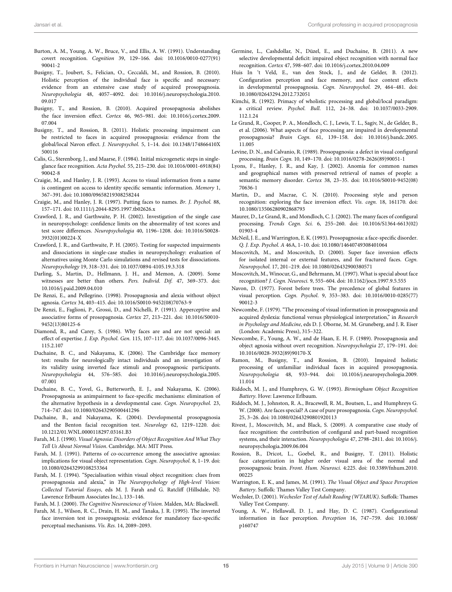- <span id="page-14-18"></span>Burton, A. M., Young, A. W., Bruce, V., and Ellis, A. W. (1991). Understanding covert recognition. Cognition 39, 129–166. doi: 10.1016/0010-0277(91) 90041-2
- <span id="page-14-16"></span>Busigny, T., Joubert, S., Felician, O., Ceccaldi, M., and Rossion, B. (2010). Holistic perception of the individual face is specific and necessary: evidence from an extensive case study of acquired prosopagnosia. Neuropsychologia 48, 4057–4092. doi: 10.1016/j.neuropsychologia.2010. 09.017
- <span id="page-14-14"></span>Busigny, T., and Rossion, B. (2010). Acquired prosopagnosia abolishes the face inversion effect. Cortex 46, 965–981. doi: 10.1016/j.cortex.2009. 07.004
- <span id="page-14-38"></span>Busigny, T., and Rossion, B. (2011). Holistic processing impairment can be restricted to faces in acquired prosopagnosia: evidence from the global/local Navon effect. J. Neuropsychol. 5, 1–14. doi: 10.1348/174866410X 500116
- <span id="page-14-9"></span>Calis, G., Sterenborg, J., and Maarse, F. (1984). Initial microgenetic steps in singleglance face recognition. Acta Psychol. 55, 215–230. doi: 10.1016/0001-6918(84) 90042-8
- <span id="page-14-39"></span>Craigie, M., and Hanley, J. R. (1993). Access to visual information from a name is contingent on access to identity specific semantic information. Memory 1, 367–391. doi: 10.1080/09658219308258244
- <span id="page-14-40"></span>Craigie, M., and Hanley, J. R. (1997). Putting faces to names. Br. J. Psychol. 88, 157–171. doi: 10.1111/j.2044-8295.1997.tb02626.x
- <span id="page-14-21"></span>Crawford, J. R., and Garthwaite, P. H. (2002). Investigation of the single case in neuropsychology: confidence limits on the abnormality of test scores and test score differences. Neuropsychologia 40, 1196–1208. doi: 10.1016/S0028- 3932(01)00224-X
- <span id="page-14-31"></span>Crawford, J. R., and Garthwaite, P. H. (2005). Testing for suspected impairments and dissociations in single-case studies in neuropsychology: evaluation of alternatives using Monte Carlo simulations and revised tests for dissociations. Neuropsychology 19, 318–331. doi: 10.1037/0894-4105.19.3.318
- <span id="page-14-36"></span>Darling, S., Martin, D., Hellmann, J. H., and Memon, A. (2009). Some witnesses are better than others. Pers. Individ. Dif. 47, 369–373. doi: 10.1016/j.paid.2009.04.010
- <span id="page-14-24"></span>De Renzi, E., and Pellegrino. (1998). Prosopagnosia and alexia without object agnosia. Cortex 34, 403–415. doi: 10.1016/S0010-9452(08)70763-9
- <span id="page-14-25"></span>De Renzi, E., Faglioni, P., Grossi, D., and Nichelli, P. (1991). Apperceptive and associative forms of prosopagnosia. Cortex 27, 213–221. doi: 10.1016/S0010- 9452(13)80125-6
- <span id="page-14-10"></span>Diamond, R., and Carey, S. (1986). Why faces are and are not special: an effect of expertise. J. Exp. Psychol. Gen. 115, 107–117. doi: 10.1037/0096-3445. 115.2.107
- <span id="page-14-30"></span>Duchaine, B. C., and Nakayama, K. (2006). The Cambridge face memory test: results for neurologically intact individuals and an investigation of its validity using inverted face stimuli and prosopagnosic participants. Neuropsychologia 44, 576–585. doi: 10.1016/j.neuropsychologia.2005. 07.001
- <span id="page-14-33"></span>Duchaine, B. C., Yovel, G., Butterworth, E. J., and Nakayama, K. (2006). Prosopagnosia as animpairment to face-specific mechanisms: elimination of the alternative hypothesis in a developmental case. Cogn. Neuropsychol. 23, 714–747. doi: 10.1080/02643290500441296
- <span id="page-14-26"></span>Duchaine, B., and Nakayama, K. (2004). Developmental prosopagnosia and the Benton facial recognition test. Neurology 62, 1219–1220. doi: 10.1212/01.WNL.0000118297.03161.B3
- <span id="page-14-6"></span>Farah, M. J. (1990). Visual Agnosia: Disorders of Object Recognition And What They Tell Us About Normal Vision. Cambridge. MA: MIT Press.
- <span id="page-14-7"></span>Farah, M. J. (1991). Patterns of co-occurrence among the associative agnosias: implications for visual object representation. Cogn. Neuropsychol. 8, 1–19. doi: 10.1080/02643299108253364
- <span id="page-14-28"></span>Farah, M. J. (1994). "Specialisation within visual object recognition: clues from prosopagnosia and alexia," in The Neuropsychology of High-level Vision: Collected Tutorial Essays, eds M. J. Farah and G. Ratcliff (Hillsdale, NJ: Lawrence Erlbaum Associates Inc.), 133–146.
- <span id="page-14-8"></span>Farah, M. J. (2000). The Cognitive Neuroscience of Vision. Malden, MA: Blackwell.
- <span id="page-14-32"></span>Farah, M. J., Wilson, R. C., Drain, H. M., and Tanaka, J. R. (1995). The inverted face inversion test in prosopagnosia: evidence for mandatory face-specific perceptual mechanisms. Vis. Res. 14, 2089–2093.
- <span id="page-14-5"></span>Germine, L., Cashdollar, N., Düzel, E., and Duchaine, B. (2011). A new selective developmental deficit: impaired object recognition with normal face recognition. Cortex 47, 598–607. doi: 10.1016/j.cortex.2010.04.009
- <span id="page-14-17"></span>Huis In 't Veld, E., van den Stock, J., and de Gelder, B. (2012). Configuration perception and face memory, and face context effects in developmental prosopagnosia. Cogn. Neuropsychol. 29, 464–481. doi: 10.1080/02643294.2012.732051
- <span id="page-14-35"></span>Kimchi, R. (1992). Primacy of wholistic processing and global/local paradigm: a critical review. Psychol. Bull. 112, 24–38. doi: 10.1037/0033-2909. 112.1.24
- <span id="page-14-34"></span>Le Grand, R., Cooper, P. A., Mondloch, C. J., Lewis, T. L., Sagiv, N., de Gelder, B., et al. (2006). What aspects of face processing are impaired in developmental prosopagnosia? Brain Cogn. 61, 139–158. doi: 10.1016/j.bandc.2005. 11.005
- <span id="page-14-42"></span>Levine, D. N., and Calvanio, R. (1989). Prosopagnosia: a defect in visual configural processing. Brain Cogn. 10, 149–170. doi: 10.1016/0278-2626(89)90051-1
- <span id="page-14-29"></span>Lyons, F., Hanley, J. R., and Kay, J. (2002). Anomia for common names and geographical names with preserved retrieval of names of people: a semantic memory disorder. Cortex 38, 23–35. doi: 10.1016/S0010-9452(08) 70636-1
- <span id="page-14-37"></span>Martin, D., and Macrae, C. N. (2010). Processing style and person recognition: exploring the face inversion effect. Vis. cogn. 18, 161170. doi: 10.1080/13506280902868793
- <span id="page-14-12"></span>Maurer, D., Le Grand, R., and Mondloch, C. J. (2002). The many faces of configural processing. Trends Cogn. Sci. 6, 255–260. doi: 10.1016/S1364-6613(02) 01903-4
- <span id="page-14-0"></span>McNeil, J. E., and Warrington, E. K. (1993). Prosopagnosia: a face-specific disorder. Q. J. Exp. Psychol. A 46A, 1–10. doi: 10.1080/14640749308401064
- <span id="page-14-13"></span>Moscovitch, M., and Moscovitch, D. (2000). Super face inversion effects for isolated internal or external features, and for fractured faces. Cogn. Neuropsychol. 17, 201–219. doi: 10.1080/026432900380571
- <span id="page-14-4"></span>Moscovitch, M., Winocur, G., and Behrmann, M. (1997). What is special about face recognition? J. Cogn. Neurosci. 9, 555–604. doi: 10.1162/jocn.1997.9.5.555
- <span id="page-14-19"></span>Navon, D. (1977). Forest before trees. The precedence of global features in visual perception. Cogn. Psychol. 9, 353–383. doi: 10.1016/0010-0285(77) 90012-3
- <span id="page-14-27"></span>Newcombe, F. (1979). "The processing of visual information in prosopagnosia and acquired dyslexia: functional versus physiological interpretation," in Research in Psychology and Medicine, eds D. J. Oborne, M. M. Gruneberg, and J. R. Eiser (London: Academic Press), 315–322.
- <span id="page-14-41"></span>Newcombe, F., Young, A. W., and de Haan, E. H. F. (1989). Prosopagnosia and object agnosia without overt recognition. Neuropsychologia 27, 179–191. doi: 10.1016/0028-3932(89)90170-X
- <span id="page-14-15"></span>Ramon, M., Busigny, T., and Rossion, B. (2010). Impaired holistic processing of unfamiliar individual faces in acquired prosopagnosia. Neuropsychologia 48, 933–944. doi: 10.1016/j.neuropsychologia.2009. 11.014
- <span id="page-14-23"></span>Riddoch, M. J., and Humphreys, G. W. (1993). Birmingham Object Recognition Battery. Hove: Lawrence Erlbaum.
- <span id="page-14-1"></span>Riddoch, M. J., Johnston, R. A., Bracewell, R. M., Boutsen, L., and Humphreys G. W. (2008). Are faces special? A case of pure prosopagnosia. Cogn. Neuropsychol. 25, 3–26. doi: 10.1080/02643290801920113
- <span id="page-14-2"></span>Rivest, J., Moscovitch, M., and Black, S. (2009). A comparative case study of face recognition: the contribution of configural and part-based recognition systems, and their interaction. Neuropsychologia 47, 2798–2811. doi: 10.1016/j. neuropsychologia.2009.06.004
- <span id="page-14-3"></span>Rossion, B., Dricot, L., Goebel, R., and Busigny, T. (2011). Holistic face categorization in higher order visual area of the normal and prosopagnosic brain. Front. Hum. Neurosci. 4:225. doi: 10.3389/fnhum.2010. 00225
- <span id="page-14-22"></span>Warrington, E. K., and James, M. (1991). The Visual Object and Space Perception Battery. Suffolk: Thames Valley Test Company.
- <span id="page-14-20"></span>Wechsler, D. (2001). Wechesler Test of Adult Reading (WTARUK). Suffolk: Thames Valley Test Company.
- <span id="page-14-11"></span>Young, A. W., Hellawall, D. J., and Hay, D. C. (1987). Configurational information in face perception. Perception 16, 747–759. doi: 10.1068/ p160747